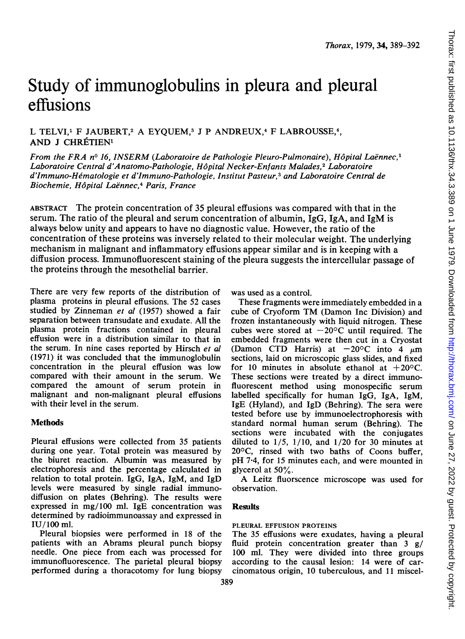# Study of immunoglobulins in pleura and pleural effusions

L TELVI,<sup>1</sup> F JAUBERT,<sup>2</sup> A EYOUEM,<sup>3</sup> J P ANDREUX,<sup>4</sup> F LABROUSSE,<sup>4</sup>, AND J CHRÉTIEN<sup>1</sup>

From the FRA nº 16, INSERM (Laboratoire de Pathologie Pleuro-Pulmonaire), Hôpital Laënnec,<sup>1</sup> Laboratoire Central d'Anatomo-Pathologie, Hôpital Necker-Enfants Malades,<sup>2</sup> Laboratoire d'Immuno-Hematologie et d'Immuno-Pathologie, Institut Pasteur,3 and Laboratoire Central de Biochemie, Hôpital Laënnec,<sup>4</sup> Paris, France

ABSTRACT The protein concentration of 35 pleural effusions was compared with that in the serum. The ratio of the pleural and serum concentration of albumin,  $IgG$ ,  $IgA$ , and  $IgM$  is always below unity and appears to have no diagnostic value. However, the ratio of the concentration of these proteins was inversely related to their molecular weight. The underlying mechanism in malignant and inflammatory effusions appear similar and is in keeping with a diffusion process. Immunofluorescent staining of the pleura suggests the intercellular passage of the proteins through the mesothelial barrier.

There are very few reports of the distribution of plasma proteins in pleural effusions. The 52 cases studied by Zinneman et al (1957) showed a fair separation between transudate and exudate. All the plasma protein fractions contained in pleural effusion were in a distribution similar to that in the serum. In nine cases reported by Hirsch et al (1971) it was concluded that the immunoglobulin concentration in the pleural effusion was low compared with their amount in the serum. We compared the amount of serum protein in malignant and non-malignant pleural effusions with their level in the serum.

## **Methods**

Pleural effusions were collected from 35 patients during one year. Total protein was measured by the biuret reaction. Albumin was measured by electrophoresis and the percentage calculated in relation to total protein. IgG, IgA, IgM, and IgD levels were measured by single radial immunodiffusion on plates (Behring). The results were expressed in mg/100 ml. IgE concentration was determined by radioimmunoassay and expressed in IU/100 ml.

Pleural biopsies were performed in 18 of the patients with an Abrams pleural punch biopsy needle. One piece from each was processed for immunofluorescence. The parietal pleural biopsy performed during a thoracotomy for lung biopsy was used as a control.

These fragments were immediately embedded in a cube of Cryoform TM (Damon Inc Division) and frozen instantaneously with liquid nitrogen. These cubes were stored at  $-20^{\circ}$ C until required. The embedded fragments were then cut in a Cryostat (Damon CTD Harris) at  $-20^{\circ}$ C into 4  $\mu$ m sections, laid on microscopic glass slides, and fixed for 10 minutes in absolute ethanol at  $+20^{\circ}$ C. These sections were treated by a direct immunofluorescent method using monospecific serum labelled specifically for human IgG, IgA, IgM, IgE (Hyland), and IgD (Behring). The sera were tested before use by immunoelectrophoresis with standard normal human serum (Behring). The sections were incubated with the conjugates diluted to  $1/5$ ,  $1/10$ , and  $1/20$  for 30 minutes at 200C, rinsed with two baths of Coons buffer, pH 7.4, for 15 minutes each, and were mounted in glycerol at 50%.

A Leitz fluorscence microscope was used for observation.

## **Results**

## PLEURAL EFFUSION PROTEINS

The 35 effusions were exudates, having a pleural fluid protein concentration greater than  $3 \frac{g}{ }$ 100 ml. They were divided into three groups according to the causal lesion: 14 were of carcinomatous origin, 10 tuberculous, and 11 miscel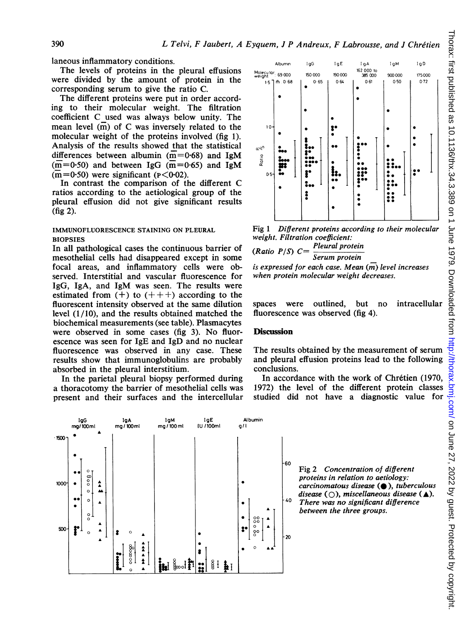laneous inflammatory conditions.

The levels of proteins in the pleural effusions were divided by the amount of protein in the corresponding serum to give the ratio C.

The different proteins were put in order according to their molecular weight. The filtration coefficient C used was always below unity. The mean level  $(m)$  of C was inversely related to the molecular weight of the proteins involved (fig 1). Analysis of the results showed that the statistical differences between albumin ( $\overline{m}$ =0.68) and IgM  $(m=0.50)$  and between IgG  $(m=0.65)$  and IgM  $\overline{m}$ =0.50) were significant ( $\overline{P}$ <0.02).

In contrast the comparison of the different C ratios according to the aetiological group of the pleural effusion did not give significant results  $(fig 2)$ .

### IMMUNOFLUORESCENCE STAINING ON PLEURAL **BIOPSIES**

In all pathological cases the continuous barrier of mesothelial cells had disappeared except in some focal areas, and inflammatory cells were observed. Interstitial and vascular fluorescence for IgG, IgA, and IgM was seen. The results were estimated from  $(+)$  to  $(+++)$  according to the fluorescent intensity observed at the same dilution level  $(1/10)$ , and the results obtained matched the biochemical measurements (see table). Plasmacytes were observed in some cases (fig 3). No fluorescence was seen for IgE and IgD and no nuclear fluorescence was observed in any case. These results show that immunoglobulins are probably absorbed in the pleural interstitium.

In the parietal pleural biopsy performed during a thoracotomy the barrier of mesothelial cells was present and their surfaces and the intercellular





Fig 1 Different proteins according to their molecular weight, Filtration coefficient:

Pleural protein (Ratio  $P/S$ )  $C=$ Serum protein

is expressed for each case. Mean  $(\overline{m})$  level increases when protein molecular weight decreases.

spaces were outlined, but  $no$ intracellular fluorescence was observed (fig 4).

## **Discussion**

The results obtained by the measurement of serum and pleural effusion proteins lead to the following conclusions.

In accordance with the work of Chrétien (1970, 1972) the level of the different protein classes studied did not have a diagnostic value for

> Fig 2 Concentration of different proteins in relation to aetiology:  $carcinomatous disease$  ( $\bullet$ ), tuberculous disease ( $\bigcirc$ ), miscellaneous disease ( $\blacktriangle$ ). There was no significant difference between the three groups.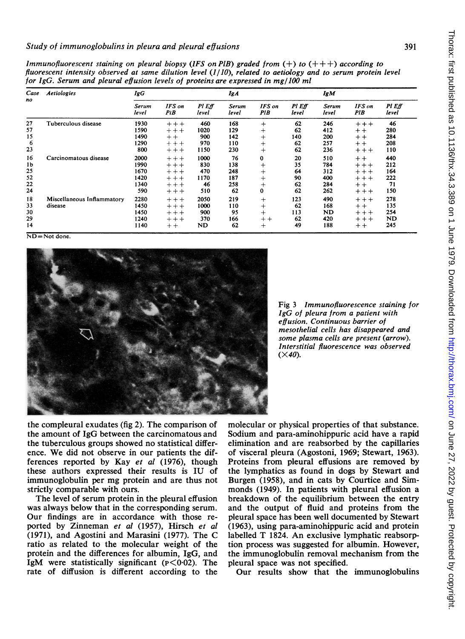| Case<br>no | Aetiologies           | for IgG. Serum and pleural effusion levels of proteins are expressed in mg/100 ml<br>IgG |               |                 | Ig A           |                      |                 | <b>IgM</b>     |               |                        |
|------------|-----------------------|------------------------------------------------------------------------------------------|---------------|-----------------|----------------|----------------------|-----------------|----------------|---------------|------------------------|
|            |                       | Serum<br>level                                                                           | IFS on<br>PiB | PI Eff<br>level | Serum<br>level | <b>IFS</b> on<br>PIB | PI Eff<br>level | Serum<br>level | IFS on<br>PIB | <b>PI</b> Eff<br>level |
| 27         | Tuberculous disease   | 1930                                                                                     | $+ + +$       | 460             | 168            | ÷                    | 62              | 246            | $+ + +$       | 46                     |
| 57         |                       | 1590                                                                                     | $+ + +$       | 1020            | 129            | $^{+}$               | 62              | 412            | $+ +$         | 280                    |
| 15         |                       | 1490                                                                                     | $+ +$         | 900             | 142            | $^{+}$               | 140             | 200            | $+ +$         | 284                    |
| 6          |                       | 1290                                                                                     | $+ + +$       | 970             | 110            | $^{+}$               | 62              | 257            | $+ +$         | 208                    |
| 23         |                       | 800                                                                                      | $+ + +$       | 1150            | 230            | $^{+}$               | 62              | 236            | $+ + +$       | 110                    |
| 16         | Carcinomatous disease | 2000                                                                                     | $+++$         | 1000            | 76             | 0                    | 20              | 510            | $+ +$         | 440                    |
| 1b         |                       | 1990                                                                                     | $+ + +$       | 830             | 138            |                      | 35              | 784            | $+ + +$       | 212                    |
| 25         |                       | 1670                                                                                     | $+ + +$       | 470             | 248            | $\div$               | 64              | 312            | $+ + +$       | 164                    |
| 52         |                       | 1420                                                                                     | $+ + +$       | 1170            | 187            | $\div$               | 90              | 400            | $+ + +$       | 222                    |
| 22         |                       | 1340                                                                                     | $++ +$        | 46              | 258            | $^{+}$               | 62              | 284            | $+ +$         | 71                     |
|            |                       |                                                                                          |               |                 |                |                      |                 |                |               |                        |

 $24$   $590$   $++$   $510$   $62$   $0$   $62$   $262$   $++$   $150$ 18 Miscellaneous Inflammatory 2280 + + + 2050 219 + 123 490 + + + 278<br>33 disease 1450 + + 1000 110 + 62 168 + + 135 33 disease 1450 + +  $1000$  110 + 62 168 + + 135 30 1450 + + 900 95 + 113 ND + +  $\overline{254}$  $29$   $1240 + + +$   $370$   $166 + +$   $62$   $420 + + +$  ND 14 140 +  $\text{ND}$  62 + 49 188 + 245

Immunofluorescent staining on pleural biopsy (IFS on PIB) graded from  $(+)$  to  $(++)$  according to fluorescent intensity observed at same dilution level  $(1/10)$ , related to aetiology

ND=Not done.



Fig 3 Immunofluorescence staining for IgG of pleura from a patient with effusion. Continuous barrier of mesothelial cells has disappeared and some plasma cells are present (arrow). Interstitial fluorescence was observed  $(\times 40)$ .

the compleural exudates (fig 2). The comparison of the amount of IgG between the carcinomatous and the tuberculous groups showed no statistical difference. We did not observe in our patients the differences reported by Kay et al (1976), though these authors expressed their results is IU of immunoglobulin per mg protein and are thus not strictly comparable with ours.

The level of serum protein in the pleural effusion was always below that in the corresponding serum. Our findings are in accordance with those reported by Zinneman et al (1957), Hirsch et al (1971), and Agostini and Marasini (1977). The C ratio as related to the molecular weight of the protein and the differences for albumin, IgG, and IgM were statistically significant  $(p<0.02)$ . The rate of diffusion is different according to the molecular or physical properties of that substance. Sodium and para-aminohippuric acid have a rapid elimination and are reabsorbed by the capillaries of visceral pleura (Agostoni, 1969; Stewart, 1963). Proteins from pleural effusions are removed by the lymphatics as found in dogs by Stewart and Burgen (1958), and in cats by Courtice and Simmonds (1949). In patients with pleural effusion a breakdown of the equilibrium between the entry and the output of fluid and proteins from the pleural space has been well documented by Stewart (1963), using para-aminohippuric acid and protein labelled T 1824. An exclusive lymphatic reabsorption process was suggested for albumin. However, the immunoglobulin removal mechanism from the pleural space was not specified.

Our results show that the immunoglobulins